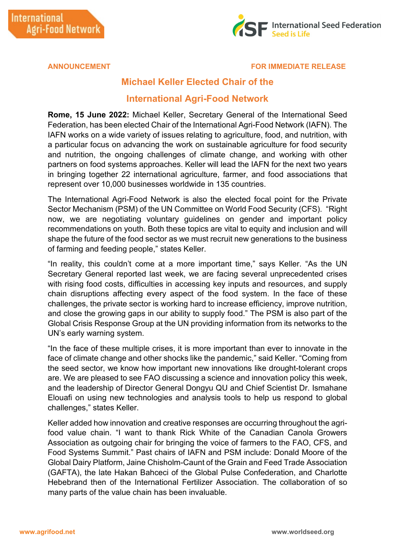

## **ANNOUNCEMENT FOR IMMEDIATE RELEASE**

## **Michael Keller Elected Chair of the**

## **International Agri-Food Network**

**Rome, 15 June 2022:** Michael Keller, Secretary General of the International Seed Federation, has been elected Chair of the International Agri-Food Network (IAFN). The IAFN works on a wide variety of issues relating to agriculture, food, and nutrition, with a particular focus on advancing the work on sustainable agriculture for food security and nutrition, the ongoing challenges of climate change, and working with other partners on food systems approaches. Keller will lead the IAFN for the next two years in bringing together 22 international agriculture, farmer, and food associations that represent over 10,000 businesses worldwide in 135 countries.

The International Agri-Food Network is also the elected focal point for the Private Sector Mechanism (PSM) of the UN Committee on World Food Security (CFS). "Right now, we are negotiating voluntary guidelines on gender and important policy recommendations on youth. Both these topics are vital to equity and inclusion and will shape the future of the food sector as we must recruit new generations to the business of farming and feeding people," states Keller.

"In reality, this couldn't come at a more important time," says Keller. "As the UN Secretary General reported last week, we are facing several unprecedented crises with rising food costs, difficulties in accessing key inputs and resources, and supply chain disruptions affecting every aspect of the food system. In the face of these challenges, the private sector is working hard to increase efficiency, improve nutrition, and close the growing gaps in our ability to supply food." The PSM is also part of the Global Crisis Response Group at the UN providing information from its networks to the UN's early warning system.

"In the face of these multiple crises, it is more important than ever to innovate in the face of climate change and other shocks like the pandemic," said Keller. "Coming from the seed sector, we know how important new innovations like drought-tolerant crops are. We are pleased to see FAO discussing a science and innovation policy this week, and the leadership of Director General Dongyu QU and Chief Scientist Dr. Ismahane Elouafi on using new technologies and analysis tools to help us respond to global challenges," states Keller.

Keller added how innovation and creative responses are occurring throughout the agrifood value chain. "I want to thank Rick White of the Canadian Canola Growers Association as outgoing chair for bringing the voice of farmers to the FAO, CFS, and Food Systems Summit." Past chairs of IAFN and PSM include: Donald Moore of the Global Dairy Platform, Jaine Chisholm-Caunt of the Grain and Feed Trade Association (GAFTA), the late Hakan Bahceci of the Global Pulse Confederation, and Charlotte Hebebrand then of the International Fertilizer Association. The collaboration of so many parts of the value chain has been invaluable.